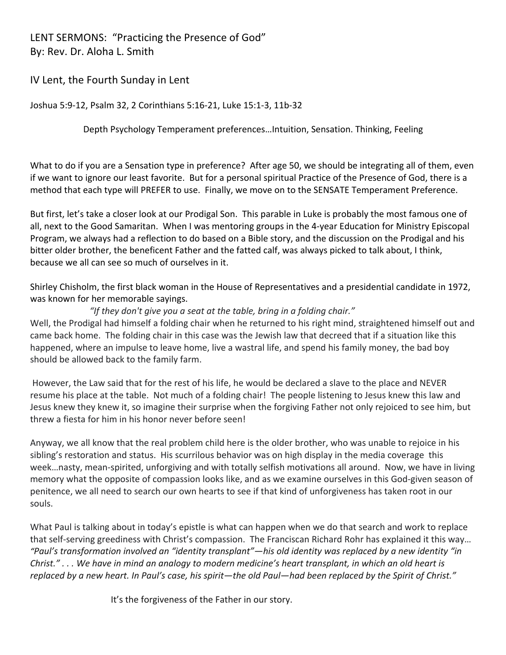LENT SERMONS: "Practicing the Presence of God" By: Rev. Dr. Aloha L. Smith

IV Lent, the Fourth Sunday in Lent

Joshua 5:9-12, Psalm 32, 2 Corinthians 5:16-21, Luke 15:1-3, 11b-32

Depth Psychology Temperament preferences…Intuition, Sensation. Thinking, Feeling

What to do if you are a Sensation type in preference? After age 50, we should be integrating all of them, even if we want to ignore our least favorite. But for a personal spiritual Practice of the Presence of God, there is a method that each type will PREFER to use. Finally, we move on to the SENSATE Temperament Preference.

But first, let's take a closer look at our Prodigal Son. This parable in Luke is probably the most famous one of all, next to the Good Samaritan. When I was mentoring groups in the 4-year Education for Ministry Episcopal Program, we always had a reflection to do based on a Bible story, and the discussion on the Prodigal and his bitter older brother, the beneficent Father and the fatted calf, was always picked to talk about, I think, because we all can see so much of ourselves in it.

Shirley Chisholm, the first black woman in the House of Representatives and a presidential candidate in 1972, was known for her memorable sayings.

## *"If they don't give you a seat at the table, bring in a folding chair."*

Well, the Prodigal had himself a folding chair when he returned to his right mind, straightened himself out and came back home. The folding chair in this case was the Jewish law that decreed that if a situation like this happened, where an impulse to leave home, live a wastral life, and spend his family money, the bad boy should be allowed back to the family farm.

However, the Law said that for the rest of his life, he would be declared a slave to the place and NEVER resume his place at the table. Not much of a folding chair! The people listening to Jesus knew this law and Jesus knew they knew it, so imagine their surprise when the forgiving Father not only rejoiced to see him, but threw a fiesta for him in his honor never before seen!

Anyway, we all know that the real problem child here is the older brother, who was unable to rejoice in his sibling's restoration and status. His scurrilous behavior was on high display in the media coverage this week…nasty, mean-spirited, unforgiving and with totally selfish motivations all around. Now, we have in living memory what the opposite of compassion looks like, and as we examine ourselves in this God-given season of penitence, we all need to search our own hearts to see if that kind of unforgiveness has taken root in our souls.

What Paul is talking about in today's epistle is what can happen when we do that search and work to replace that self-serving greediness with Christ's compassion. The Franciscan Richard Rohr has explained it this way… *"Paul's transformation involved an "identity transplant"—his old identity was replaced by a new identity "in Christ." . . . We have in mind an analogy to modern medicine's heart transplant, in which an old heart is replaced by a new heart. In Paul's case, his spirit—the old Paul—had been replaced by the Spirit of Christ."*

It's the forgiveness of the Father in our story.